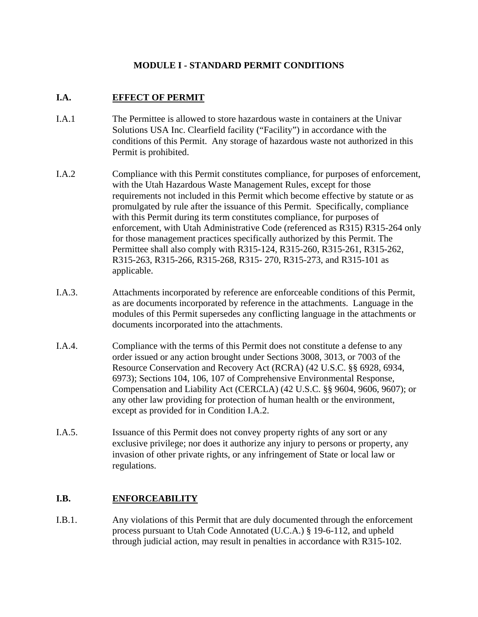# **MODULE I - STANDARD PERMIT CONDITIONS**

### **I.A. EFFECT OF PERMIT**

- I.A.1 The Permittee is allowed to store hazardous waste in containers at the Univar Solutions USA Inc. Clearfield facility ("Facility") in accordance with the conditions of this Permit. Any storage of hazardous waste not authorized in this Permit is prohibited.
- I.A.2 Compliance with this Permit constitutes compliance, for purposes of enforcement, with the Utah Hazardous Waste Management Rules, except for those requirements not included in this Permit which become effective by statute or as promulgated by rule after the issuance of this Permit. Specifically, compliance with this Permit during its term constitutes compliance, for purposes of enforcement, with Utah Administrative Code (referenced as R315) R315-264 only for those management practices specifically authorized by this Permit. The Permittee shall also comply with R315-124, R315-260, R315-261, R315-262, R315-263, R315-266, R315-268, R315- 270, R315-273, and R315-101 as applicable.
- I.A.3. Attachments incorporated by reference are enforceable conditions of this Permit, as are documents incorporated by reference in the attachments. Language in the modules of this Permit supersedes any conflicting language in the attachments or documents incorporated into the attachments.
- I.A.4. Compliance with the terms of this Permit does not constitute a defense to any order issued or any action brought under Sections 3008, 3013, or 7003 of the Resource Conservation and Recovery Act (RCRA) (42 U.S.C. §§ 6928, 6934, 6973); Sections 104, 106, 107 of Comprehensive Environmental Response, Compensation and Liability Act (CERCLA) (42 U.S.C. §§ 9604, 9606, 9607); or any other law providing for protection of human health or the environment, except as provided for in Condition I.A.2.
- I.A.5. Issuance of this Permit does not convey property rights of any sort or any exclusive privilege; nor does it authorize any injury to persons or property, any invasion of other private rights, or any infringement of State or local law or regulations.

# **I.B. ENFORCEABILITY**

I.B.1. Any violations of this Permit that are duly documented through the enforcement process pursuant to Utah Code Annotated (U.C.A.) § 19-6-112, and upheld through judicial action*,* may result in penalties in accordance with R315-102.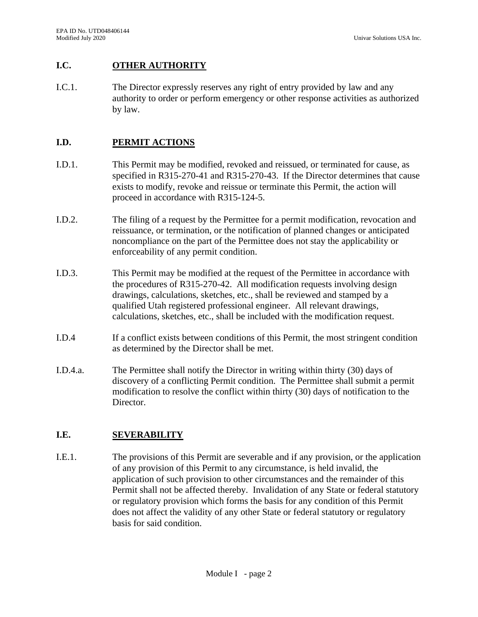## **I.C. OTHER AUTHORITY**

I.C.1. The Director expressly reserves any right of entry provided by law and any authority to order or perform emergency or other response activities as authorized by law.

## **I.D. PERMIT ACTIONS**

- I.D.1. This Permit may be modified, revoked and reissued, or terminated for cause, as specified in R315-270-41 and R315-270-43. If the Director determines that cause exists to modify, revoke and reissue or terminate this Permit, the action will proceed in accordance with R315-124-5.
- I.D.2. The filing of a request by the Permittee for a permit modification, revocation and reissuance, or termination, or the notification of planned changes or anticipated noncompliance on the part of the Permittee does not stay the applicability or enforceability of any permit condition.
- I.D.3. This Permit may be modified at the request of the Permittee in accordance with the procedures of R315-270-42. All modification requests involving design drawings, calculations, sketches, etc., shall be reviewed and stamped by a qualified Utah registered professional engineer. All relevant drawings, calculations, sketches, etc., shall be included with the modification request.
- I.D.4 If a conflict exists between conditions of this Permit, the most stringent condition as determined by the Director shall be met.
- I.D.4.a. The Permittee shall notify the Director in writing within thirty (30) days of discovery of a conflicting Permit condition. The Permittee shall submit a permit modification to resolve the conflict within thirty (30) days of notification to the Director.

### **I.E. SEVERABILITY**

I.E.1. The provisions of this Permit are severable and if any provision, or the application of any provision of this Permit to any circumstance, is held invalid, the application of such provision to other circumstances and the remainder of this Permit shall not be affected thereby. Invalidation of any State or federal statutory or regulatory provision which forms the basis for any condition of this Permit does not affect the validity of any other State or federal statutory or regulatory basis for said condition.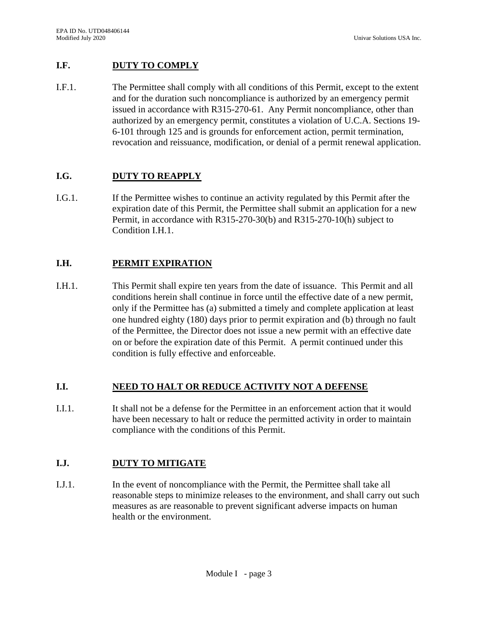# **I.F. DUTY TO COMPLY**

I.F.1. The Permittee shall comply with all conditions of this Permit, except to the extent and for the duration such noncompliance is authorized by an emergency permit issued in accordance with R315-270-61. Any Permit noncompliance, other than authorized by an emergency permit, constitutes a violation of U.C.A. Sections 19- 6-101 through 125 and is grounds for enforcement action, permit termination, revocation and reissuance, modification, or denial of a permit renewal application.

# **I.G. DUTY TO REAPPLY**

I.G.1. If the Permittee wishes to continue an activity regulated by this Permit after the expiration date of this Permit, the Permittee shall submit an application for a new Permit, in accordance with R315-270-30(b) and R315-270-10(h) subject to Condition I.H.1.

# **I.H. PERMIT EXPIRATION**

I.H.1. This Permit shall expire ten years from the date of issuance. This Permit and all conditions herein shall continue in force until the effective date of a new permit, only if the Permittee has (a) submitted a timely and complete application at least one hundred eighty (180) days prior to permit expiration and (b) through no fault of the Permittee, the Director does not issue a new permit with an effective date on or before the expiration date of this Permit. A permit continued under this condition is fully effective and enforceable.

### **I.I. NEED TO HALT OR REDUCE ACTIVITY NOT A DEFENSE**

I.I.1. It shall not be a defense for the Permittee in an enforcement action that it would have been necessary to halt or reduce the permitted activity in order to maintain compliance with the conditions of this Permit.

# **I.J. DUTY TO MITIGATE**

I.J.1. In the event of noncompliance with the Permit, the Permittee shall take all reasonable steps to minimize releases to the environment, and shall carry out such measures as are reasonable to prevent significant adverse impacts on human health or the environment.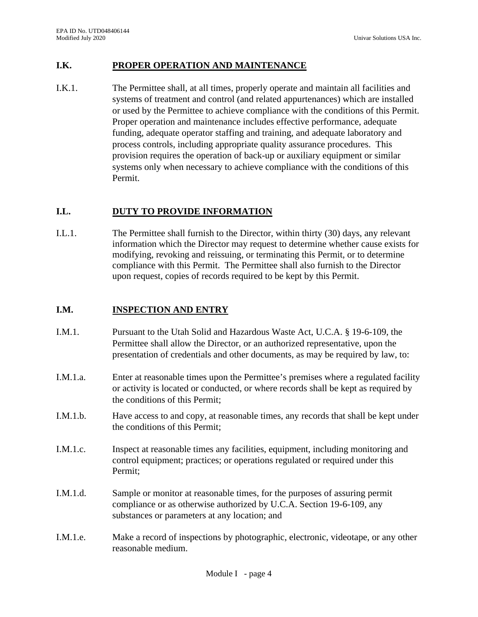# **I.K. PROPER OPERATION AND MAINTENANCE**

I.K.1. The Permittee shall, at all times, properly operate and maintain all facilities and systems of treatment and control (and related appurtenances) which are installed or used by the Permittee to achieve compliance with the conditions of this Permit. Proper operation and maintenance includes effective performance, adequate funding, adequate operator staffing and training, and adequate laboratory and process controls, including appropriate quality assurance procedures. This provision requires the operation of back-up or auxiliary equipment or similar systems only when necessary to achieve compliance with the conditions of this Permit.

### **I.L. DUTY TO PROVIDE INFORMATION**

I.L.1. The Permittee shall furnish to the Director, within thirty (30) days, any relevant information which the Director may request to determine whether cause exists for modifying, revoking and reissuing, or terminating this Permit, or to determine compliance with this Permit. The Permittee shall also furnish to the Director upon request, copies of records required to be kept by this Permit.

### **I.M. INSPECTION AND ENTRY**

- I.M.1. Pursuant to the Utah Solid and Hazardous Waste Act, U.C.A. § 19-6-109, the Permittee shall allow the Director, or an authorized representative, upon the presentation of credentials and other documents, as may be required by law, to:
- I.M.1.a. Enter at reasonable times upon the Permittee's premises where a regulated facility or activity is located or conducted, or where records shall be kept as required by the conditions of this Permit;
- I.M.1.b. Have access to and copy, at reasonable times, any records that shall be kept under the conditions of this Permit;
- I.M.1.c. Inspect at reasonable times any facilities, equipment, including monitoring and control equipment; practices; or operations regulated or required under this Permit;
- I.M.1.d. Sample or monitor at reasonable times, for the purposes of assuring permit compliance or as otherwise authorized by U.C.A. Section 19-6-109, any substances or parameters at any location; and
- I.M.1.e. Make a record of inspections by photographic, electronic, videotape, or any other reasonable medium.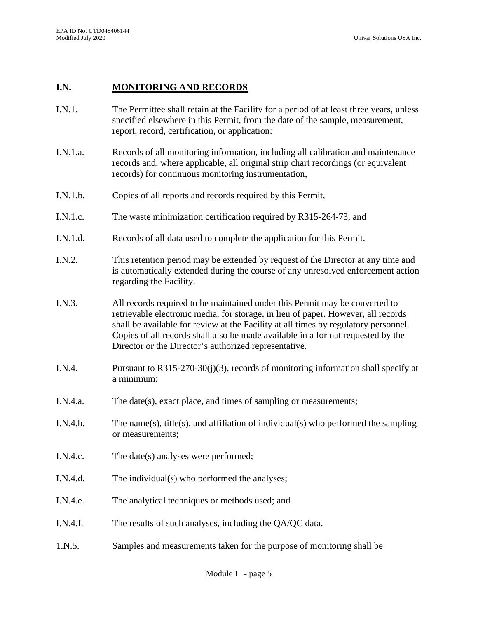### **I.N. MONITORING AND RECORDS**

- I.N.1. The Permittee shall retain at the Facility for a period of at least three years, unless specified elsewhere in this Permit, from the date of the sample, measurement, report, record, certification, or application:
- I.N.1.a. Records of all monitoring information, including all calibration and maintenance records and, where applicable, all original strip chart recordings (or equivalent records) for continuous monitoring instrumentation,
- I.N.1.b. Copies of all reports and records required by this Permit,
- I.N.1.c. The waste minimization certification required by R315-264-73, and
- I.N.1.d. Records of all data used to complete the application for this Permit.
- I.N.2. This retention period may be extended by request of the Director at any time and is automatically extended during the course of any unresolved enforcement action regarding the Facility.
- I.N.3. All records required to be maintained under this Permit may be converted to retrievable electronic media, for storage, in lieu of paper. However, all records shall be available for review at the Facility at all times by regulatory personnel. Copies of all records shall also be made available in a format requested by the Director or the Director's authorized representative.
- I.N.4. Pursuant to R315-270-30(j)(3), records of monitoring information shall specify at a minimum:
- I.N.4.a. The date(s), exact place, and times of sampling or measurements;
- I.N.4.b. The name(s), title(s), and affiliation of individual(s) who performed the sampling or measurements;
- I.N.4.c. The date(s) analyses were performed;
- I.N.4.d. The individual(s) who performed the analyses;
- I.N.4.e. The analytical techniques or methods used; and
- I.N.4.f. The results of such analyses, including the QA/QC data.
- 1.N.5. Samples and measurements taken for the purpose of monitoring shall be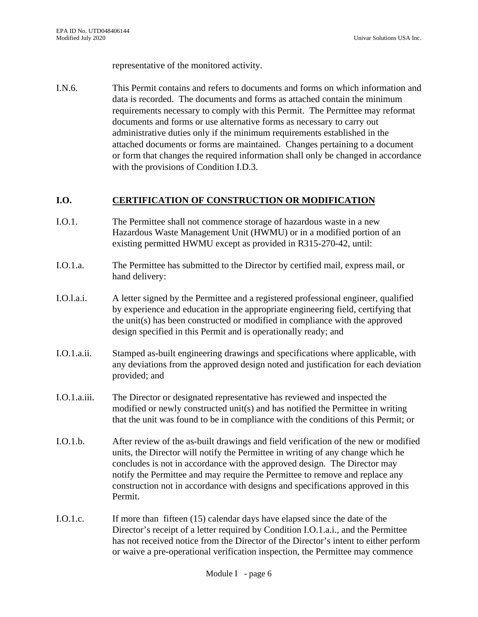representative of the monitored activity.

I.N.6. This Permit contains and refers to documents and forms on which information and data is recorded. The documents and forms as attached contain the minimum requirements necessary to comply with this Permit. The Permittee may reformat documents and forms or use alternative forms as necessary to carry out administrative duties only if the minimum requirements established in the attached documents or forms are maintained. Changes pertaining to a document or form that changes the required information shall only be changed in accordance with the provisions of Condition I.D.3.

### **I.O. CERTIFICATION OF CONSTRUCTION OR MODIFICATION**

- I.O.1. The Permittee shall not commence storage of hazardous waste in a new Hazardous Waste Management Unit (HWMU) or in a modified portion of an existing permitted HWMU except as provided in R315-270-42, until:
- I.O.1.a. The Permittee has submitted to the Director by certified mail, express mail, or hand delivery:
- I.O.l.a.i. A letter signed by the Permittee and a registered professional engineer, qualified by experience and education in the appropriate engineering field, certifying that the unit(s) has been constructed or modified in compliance with the approved design specified in this Permit and is operationally ready; and
- I.O.1.a.ii. Stamped as-built engineering drawings and specifications where applicable, with any deviations from the approved design noted and justification for each deviation provided; and
- I.O.1.a.iii. The Director or designated representative has reviewed and inspected the modified or newly constructed unit(s) and has notified the Permittee in writing that the unit was found to be in compliance with the conditions of this Permit; or
- I.O.1.b. After review of the as-built drawings and field verification of the new or modified units, the Director will notify the Permittee in writing of any change which he concludes is not in accordance with the approved design. The Director may notify the Permittee and may require the Permittee to remove and replace any construction not in accordance with designs and specifications approved in this Permit.
- I.O.1.c. If more than fifteen (15) calendar days have elapsed since the date of the Director's receipt of a letter required by Condition I.O.1.a.i., and the Permittee has not received notice from the Director of the Director's intent to either perform or waive a pre-operational verification inspection, the Permittee may commence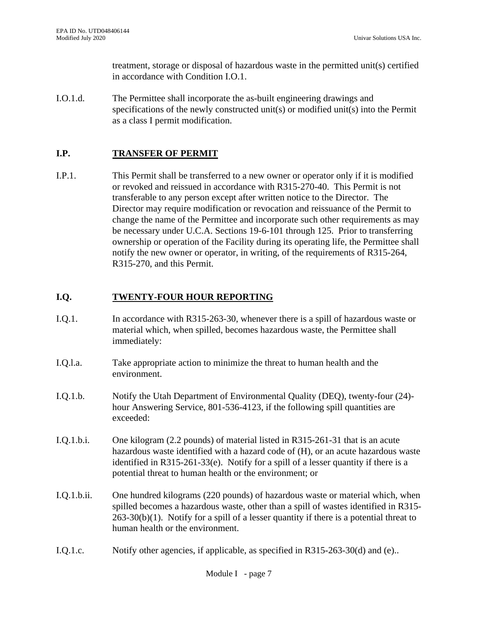treatment, storage or disposal of hazardous waste in the permitted unit(s) certified in accordance with Condition I.O.1.

I.O.1.d. The Permittee shall incorporate the as-built engineering drawings and specifications of the newly constructed unit(s) or modified unit(s) into the Permit as a class I permit modification.

# **I.P. TRANSFER OF PERMIT**

I.P.1. This Permit shall be transferred to a new owner or operator only if it is modified or revoked and reissued in accordance with R315-270-40. This Permit is not transferable to any person except after written notice to the Director. The Director may require modification or revocation and reissuance of the Permit to change the name of the Permittee and incorporate such other requirements as may be necessary under U.C.A. Sections 19-6-101 through 125. Prior to transferring ownership or operation of the Facility during its operating life, the Permittee shall notify the new owner or operator, in writing, of the requirements of R315-264, R315-270, and this Permit.

# **I.Q. TWENTY-FOUR HOUR REPORTING**

- I.Q.1. In accordance with R315-263-30, whenever there is a spill of hazardous waste or material which, when spilled, becomes hazardous waste, the Permittee shall immediately:
- I.Q.l.a. Take appropriate action to minimize the threat to human health and the environment.
- I.Q.1.b. Notify the Utah Department of Environmental Quality (DEQ), twenty-four (24) hour Answering Service, 801-536-4123, if the following spill quantities are exceeded:
- I.Q.1.b.i. One kilogram (2.2 pounds) of material listed in R315-261-31 that is an acute hazardous waste identified with a hazard code of (H), or an acute hazardous waste identified in R315-261-33(e). Notify for a spill of a lesser quantity if there is a potential threat to human health or the environment; or
- I.Q.1.b.ii. One hundred kilograms (220 pounds) of hazardous waste or material which, when spilled becomes a hazardous waste, other than a spill of wastes identified in R315-  $263-30(b)(1)$ . Notify for a spill of a lesser quantity if there is a potential threat to human health or the environment.
- I.Q.1.c. Notify other agencies, if applicable, as specified in R315-263-30(d) and (e)..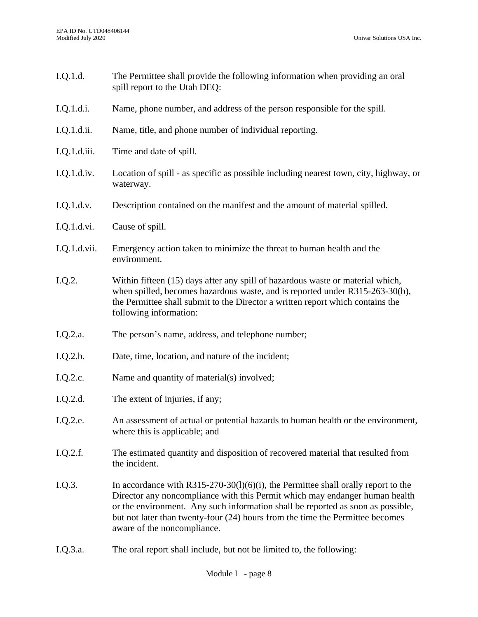- I.Q.1.d. The Permittee shall provide the following information when providing an oral spill report to the Utah DEQ:
- I.Q.1.d.i. Name, phone number, and address of the person responsible for the spill.
- I.Q.1.d.ii. Name, title, and phone number of individual reporting.
- I.Q.1.d.iii. Time and date of spill.
- I.Q.1.d.iv. Location of spill as specific as possible including nearest town, city, highway, or waterway.
- I.Q.1.d.v. Description contained on the manifest and the amount of material spilled.
- I.Q.1.d.vi. Cause of spill.
- I.Q.1.d.vii. Emergency action taken to minimize the threat to human health and the environment.
- I.Q.2. Within fifteen (15) days after any spill of hazardous waste or material which, when spilled, becomes hazardous waste, and is reported under R315-263-30(b), the Permittee shall submit to the Director a written report which contains the following information:
- I.Q.2.a. The person's name, address, and telephone number;
- I.Q.2.b. Date, time, location, and nature of the incident;
- I.Q.2.c. Name and quantity of material(s) involved;
- I.Q.2.d. The extent of injuries, if any;
- I.Q.2.e. An assessment of actual or potential hazards to human health or the environment, where this is applicable; and
- I.Q.2.f. The estimated quantity and disposition of recovered material that resulted from the incident.
- I.Q.3. In accordance with R315-270-30(l)(6)(i), the Permittee shall orally report to the Director any noncompliance with this Permit which may endanger human health or the environment. Any such information shall be reported as soon as possible, but not later than twenty-four (24) hours from the time the Permittee becomes aware of the noncompliance.
- I.Q.3.a. The oral report shall include, but not be limited to, the following: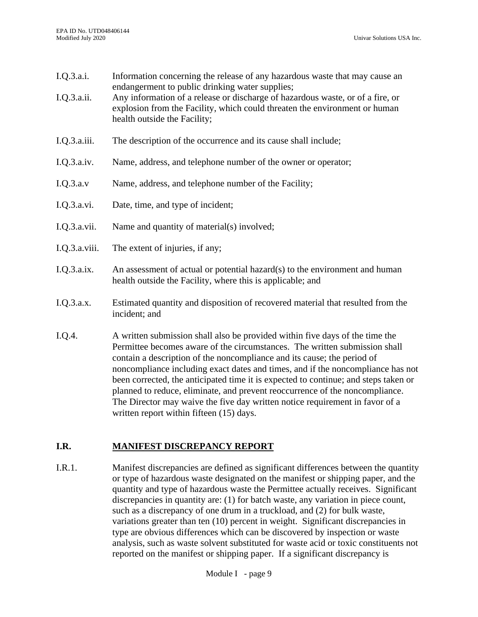- I.Q.3.a.i. Information concerning the release of any hazardous waste that may cause an endangerment to public drinking water supplies;
- I.Q.3.a.ii. Any information of a release or discharge of hazardous waste, or of a fire, or explosion from the Facility, which could threaten the environment or human health outside the Facility;
- I.Q.3.a.iii. The description of the occurrence and its cause shall include;
- I.Q.3.a.iv. Name, address, and telephone number of the owner or operator;
- I.Q.3.a.v Name, address, and telephone number of the Facility;
- I.Q.3.a.vi. Date, time, and type of incident;
- I.Q.3.a.vii. Name and quantity of material(s) involved;
- I.Q.3.a.viii. The extent of injuries, if any;
- I.Q.3.a.ix. An assessment of actual or potential hazard(s) to the environment and human health outside the Facility, where this is applicable; and
- I.Q.3.a.x. Estimated quantity and disposition of recovered material that resulted from the incident; and
- I.Q.4. A written submission shall also be provided within five days of the time the Permittee becomes aware of the circumstances. The written submission shall contain a description of the noncompliance and its cause; the period of noncompliance including exact dates and times, and if the noncompliance has not been corrected, the anticipated time it is expected to continue; and steps taken or planned to reduce, eliminate, and prevent reoccurrence of the noncompliance. The Director may waive the five day written notice requirement in favor of a written report within fifteen (15) days.

### **I.R. MANIFEST DISCREPANCY REPORT**

I.R.1. Manifest discrepancies are defined as significant differences between the quantity or type of hazardous waste designated on the manifest or shipping paper, and the quantity and type of hazardous waste the Permittee actually receives. Significant discrepancies in quantity are: (1) for batch waste, any variation in piece count, such as a discrepancy of one drum in a truckload, and (2) for bulk waste, variations greater than ten (10) percent in weight. Significant discrepancies in type are obvious differences which can be discovered by inspection or waste analysis, such as waste solvent substituted for waste acid or toxic constituents not reported on the manifest or shipping paper. If a significant discrepancy is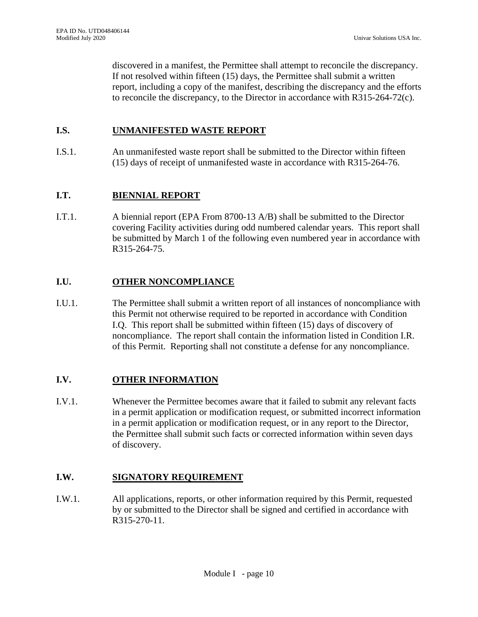discovered in a manifest, the Permittee shall attempt to reconcile the discrepancy. If not resolved within fifteen (15) days, the Permittee shall submit a written report, including a copy of the manifest, describing the discrepancy and the efforts to reconcile the discrepancy, to the Director in accordance with R315-264-72(c).

### **I.S. UNMANIFESTED WASTE REPORT**

I.S.1. An unmanifested waste report shall be submitted to the Director within fifteen (15) days of receipt of unmanifested waste in accordance with R315-264-76.

### **I.T. BIENNIAL REPORT**

I.T.1. A biennial report (EPA From 8700-13 A/B) shall be submitted to the Director covering Facility activities during odd numbered calendar years. This report shall be submitted by March 1 of the following even numbered year in accordance with R315-264-75.

### **I.U. OTHER NONCOMPLIANCE**

I.U.1. The Permittee shall submit a written report of all instances of noncompliance with this Permit not otherwise required to be reported in accordance with Condition I.Q. This report shall be submitted within fifteen (15) days of discovery of noncompliance. The report shall contain the information listed in Condition I.R. of this Permit. Reporting shall not constitute a defense for any noncompliance.

### **I.V. OTHER INFORMATION**

I.V.1. Whenever the Permittee becomes aware that it failed to submit any relevant facts in a permit application or modification request, or submitted incorrect information in a permit application or modification request, or in any report to the Director, the Permittee shall submit such facts or corrected information within seven days of discovery.

### **I.W. SIGNATORY REQUIREMENT**

I.W.1. All applications, reports, or other information required by this Permit, requested by or submitted to the Director shall be signed and certified in accordance with R315-270-11.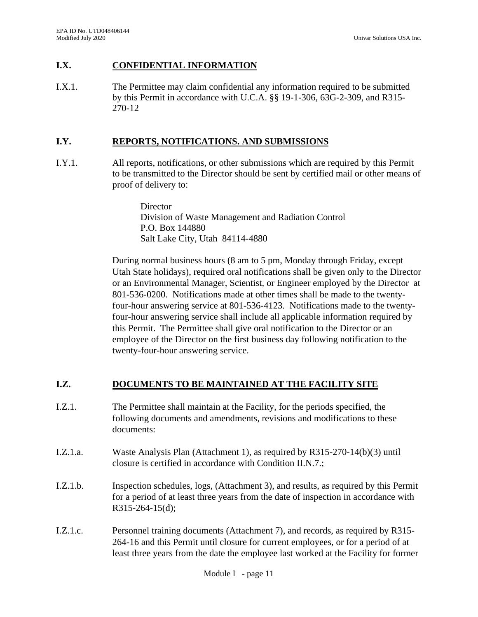# **I.X. CONFIDENTIAL INFORMATION**

I.X.1. The Permittee may claim confidential any information required to be submitted by this Permit in accordance with U.C.A. §§ 19-1-306, 63G-2-309, and R315- 270-12

## **I.Y. REPORTS, NOTIFICATIONS. AND SUBMISSIONS**

I.Y.1. All reports, notifications, or other submissions which are required by this Permit to be transmitted to the Director should be sent by certified mail or other means of proof of delivery to:

> **Director** Division of Waste Management and Radiation Control P.O. Box 144880 Salt Lake City, Utah 84114-4880

During normal business hours (8 am to 5 pm, Monday through Friday, except Utah State holidays), required oral notifications shall be given only to the Director or an Environmental Manager, Scientist, or Engineer employed by the Director at 801-536-0200. Notifications made at other times shall be made to the twentyfour-hour answering service at 801-536-4123. Notifications made to the twentyfour-hour answering service shall include all applicable information required by this Permit. The Permittee shall give oral notification to the Director or an employee of the Director on the first business day following notification to the twenty-four-hour answering service.

# **I.Z. DOCUMENTS TO BE MAINTAINED AT THE FACILITY SITE**

- I.Z.1. The Permittee shall maintain at the Facility, for the periods specified, the following documents and amendments, revisions and modifications to these documents:
- I.Z.1.a. Waste Analysis Plan (Attachment 1), as required by R315-270-14(b)(3) until closure is certified in accordance with Condition II.N.7.;
- I.Z.1.b. Inspection schedules, logs, (Attachment 3), and results, as required by this Permit for a period of at least three years from the date of inspection in accordance with R315-264-15(d);
- I.Z.1.c. Personnel training documents (Attachment 7), and records, as required by R315- 264-16 and this Permit until closure for current employees, or for a period of at least three years from the date the employee last worked at the Facility for former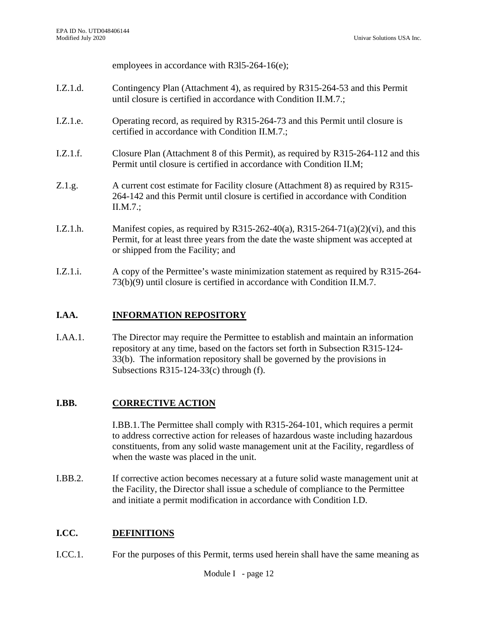employees in accordance with R3l5-264-16(e);

- I.Z.1.d. Contingency Plan (Attachment 4), as required by R315-264-53 and this Permit until closure is certified in accordance with Condition II.M.7.;
- I.Z.1.e. Operating record, as required by R315-264-73 and this Permit until closure is certified in accordance with Condition II.M.7.;
- I.Z.1.f. Closure Plan (Attachment 8 of this Permit), as required by R315-264-112 and this Permit until closure is certified in accordance with Condition II.M;
- Z.1.g. A current cost estimate for Facility closure (Attachment 8) as required by R315- 264-142 and this Permit until closure is certified in accordance with Condition II.M.7.;
- I.Z.1.h. Manifest copies, as required by R315-262-40(a), R315-264-71(a)(2)(vi), and this Permit, for at least three years from the date the waste shipment was accepted at or shipped from the Facility; and
- I.Z.1.i. A copy of the Permittee's waste minimization statement as required by R315-264- 73(b)(9) until closure is certified in accordance with Condition II.M.7.

# **I.AA. INFORMATION REPOSITORY**

I.AA.1. The Director may require the Permittee to establish and maintain an information repository at any time, based on the factors set forth in Subsection R315-124- 33(b). The information repository shall be governed by the provisions in Subsections R315-124-33(c) through (f).

# **I.BB. CORRECTIVE ACTION**

I.BB.1.The Permittee shall comply with R315-264-101, which requires a permit to address corrective action for releases of hazardous waste including hazardous constituents, from any solid waste management unit at the Facility, regardless of when the waste was placed in the unit.

I.BB.2. If corrective action becomes necessary at a future solid waste management unit at the Facility, the Director shall issue a schedule of compliance to the Permittee and initiate a permit modification in accordance with Condition I.D.

# **I.CC. DEFINITIONS**

I.CC.1. For the purposes of this Permit, terms used herein shall have the same meaning as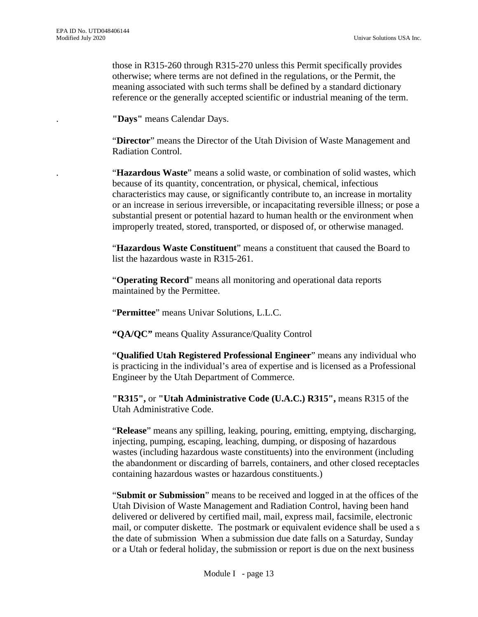those in R315-260 through R315-270 unless this Permit specifically provides otherwise; where terms are not defined in the regulations, or the Permit, the meaning associated with such terms shall be defined by a standard dictionary reference or the generally accepted scientific or industrial meaning of the term.

. **"Days"** means Calendar Days.

"**Director**" means the Director of the Utah Division of Waste Management and Radiation Control.

. "**Hazardous Waste**" means a solid waste, or combination of solid wastes, which because of its quantity, concentration, or physical, chemical, infectious characteristics may cause, or significantly contribute to, an increase in mortality or an increase in serious irreversible, or incapacitating reversible illness; or pose a substantial present or potential hazard to human health or the environment when improperly treated, stored, transported, or disposed of, or otherwise managed.

"**Hazardous Waste Constituent**" means a constituent that caused the Board to list the hazardous waste in R315-261.

"**Operating Record**" means all monitoring and operational data reports maintained by the Permittee.

"**Permittee**" means Univar Solutions, L.L.C.

**"QA/QC"** means Quality Assurance/Quality Control

"**Qualified Utah Registered Professional Engineer**" means any individual who is practicing in the individual's area of expertise and is licensed as a Professional Engineer by the Utah Department of Commerce.

**"R315",** or **"Utah Administrative Code (U.A.C.) R315",** means R315 of the Utah Administrative Code.

"**Release**" means any spilling, leaking, pouring, emitting, emptying, discharging, injecting, pumping, escaping, leaching, dumping, or disposing of hazardous wastes (including hazardous waste constituents) into the environment (including the abandonment or discarding of barrels, containers, and other closed receptacles containing hazardous wastes or hazardous constituents.)

"**Submit or Submission**" means to be received and logged in at the offices of the Utah Division of Waste Management and Radiation Control, having been hand delivered or delivered by certified mail, mail, express mail, facsimile, electronic mail, or computer diskette. The postmark or equivalent evidence shall be used a s the date of submission When a submission due date falls on a Saturday, Sunday or a Utah or federal holiday, the submission or report is due on the next business